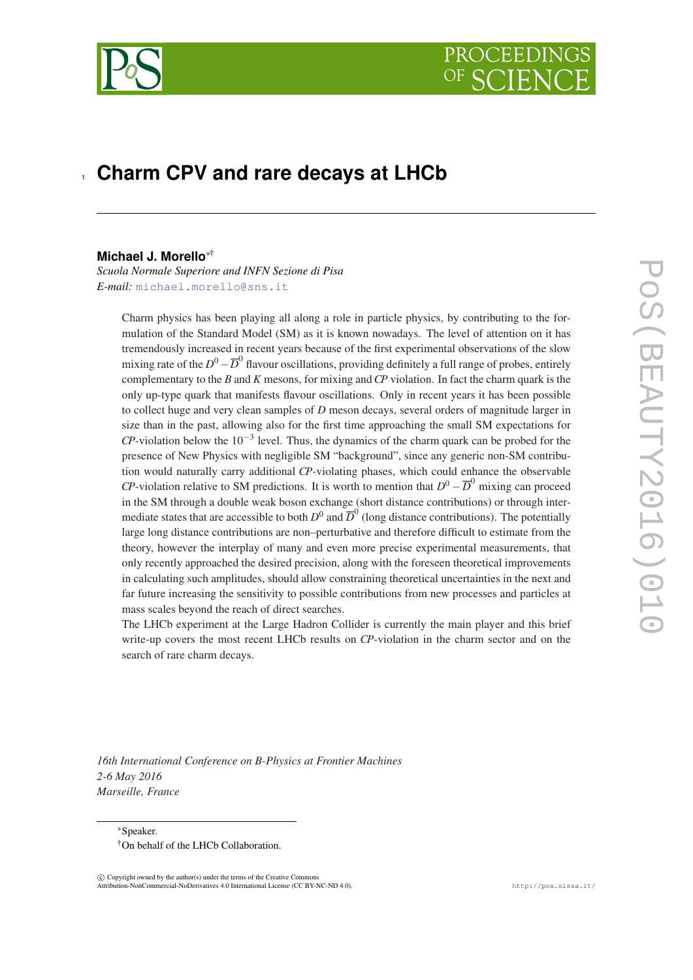

# <sup>1</sup> **Charm CPV and rare decays at LHCb**

# **Michael J. Morello**∗†

*Scuola Normale Superiore and INFN Sezione di Pisa E-mail:* [michael.morello@sns.it](mailto:michael.morello@sns.it)

> Charm physics has been playing all along a role in particle physics, by contributing to the formulation of the Standard Model (SM) as it is known nowadays. The level of attention on it has tremendously increased in recent years because of the first experimental observations of the slow mixing rate of the  $D^0 - \overline{D}^0$  flavour oscillations, providing definitely a full range of probes, entirely complementary to the *B* and *K* mesons, for mixing and*CP* violation. In fact the charm quark is the only up-type quark that manifests flavour oscillations. Only in recent years it has been possible to collect huge and very clean samples of *D* meson decays, several orders of magnitude larger in size than in the past, allowing also for the first time approaching the small SM expectations for  $CP$ -violation below the 10<sup>-3</sup> level. Thus, the dynamics of the charm quark can be probed for the presence of New Physics with negligible SM "background", since any generic non-SM contribution would naturally carry additional *CP*-violating phases, which could enhance the observable *CP*-violation relative to SM predictions. It is worth to mention that  $D^0 - \overline{D}^0$  mixing can proceed in the SM through a double weak boson exchange (short distance contributions) or through intermediate states that are accessible to both  $D^0$  and  $\overline{D}^0$  (long distance contributions). The potentially large long distance contributions are non–perturbative and therefore difficult to estimate from the theory, however the interplay of many and even more precise experimental measurements, that only recently approached the desired precision, along with the foreseen theoretical improvements in calculating such amplitudes, should allow constraining theoretical uncertainties in the next and far future increasing the sensitivity to possible contributions from new processes and particles at mass scales beyond the reach of direct searches.

> The LHCb experiment at the Large Hadron Collider is currently the main player and this brief write-up covers the most recent LHCb results on *CP*-violation in the charm sector and on the search of rare charm decays.

*16th International Conference on B-Physics at Frontier Machines 2-6 May 2016 Marseille, France*

<sup>∗</sup>Speaker. †On behalf of the LHCb Collaboration.

 $(C)$  Copyright owned by the author(s) under the terms of the Creative Commons Attribution-NonCommercial-NoDerivatives 4.0 International License (CC BY-NC-ND 4.0). http://pos.sissa.it/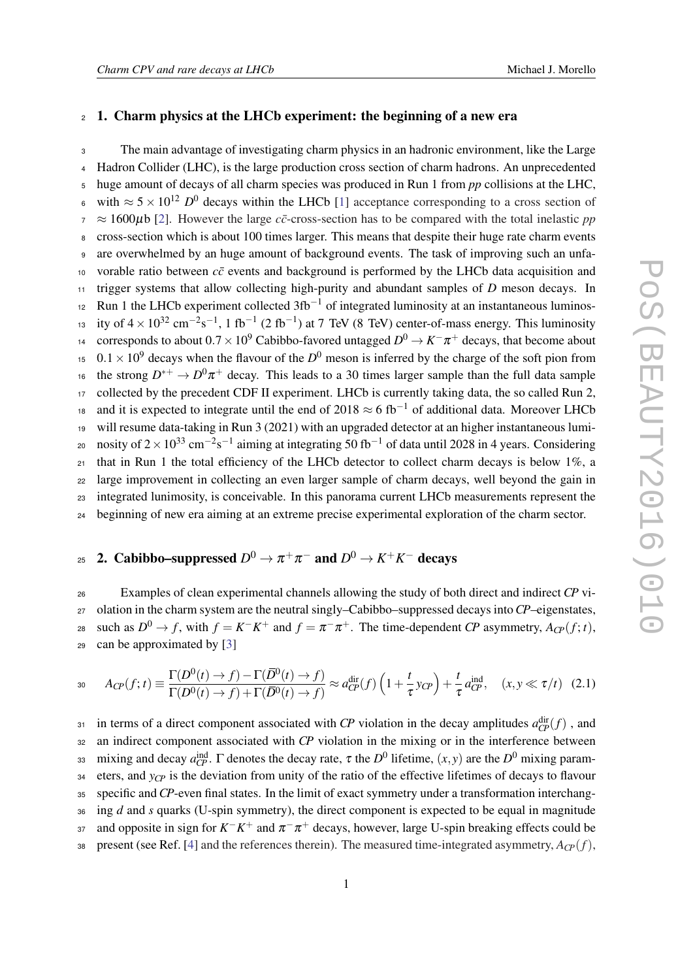# <span id="page-1-0"></span><sup>2</sup> 1. Charm physics at the LHCb experiment: the beginning of a new era

<sup>3</sup> The main advantage of investigating charm physics in an hadronic environment, like the Large <sup>4</sup> Hadron Collider (LHC), is the large production cross section of charm hadrons. An unprecedented <sup>5</sup> huge amount of decays of all charm species was produced in Run 1 from *pp* collisions at the LHC, 6 with  $\approx$  5 × 10<sup>12</sup> *D*<sup>0</sup> decays within the LHCb [\[1\]](#page-5-0) acceptance corresponding to a cross section of  $7 \approx 1600 \mu b$  [\[2\]](#page-5-0). However the large *c* $\bar{c}$ -cross-section has to be compared with the total inelastic *pp* <sup>8</sup> cross-section which is about 100 times larger. This means that despite their huge rate charm events <sup>9</sup> are overwhelmed by an huge amount of background events. The task of improving such an unfa-10 vorable ratio between  $c\bar{c}$  events and background is performed by the LHCb data acquisition and <sup>11</sup> trigger systems that allow collecting high-purity and abundant samples of *D* meson decays. In  $12$  Run 1 the LHCb experiment collected 3fb<sup>-1</sup> of integrated luminosity at an instantaneous luminos-<sup>13</sup> ity of  $4 \times 10^{32}$  cm<sup>-2</sup>s<sup>-1</sup>, 1 fb<sup>-1</sup> (2 fb<sup>-1</sup>) at 7 TeV (8 TeV) center-of-mass energy. This luminosity <sup>14</sup> corresponds to about 0.7 × 10<sup>9</sup> Cabibbo-favored untagged  $D^0$  →  $K^−π^+$  decays, that become about  $15 \cdot 0.1 \times 10^9$  decays when the flavour of the *D*<sup>0</sup> meson is inferred by the charge of the soft pion from <sup>16</sup> the strong  $D^{*+} \to D^0 \pi^+$  decay. This leads to a 30 times larger sample than the full data sample 17 collected by the precedent CDF II experiment. LHCb is currently taking data, the so called Run 2, <sup>18</sup> and it is expected to integrate until the end of 2018  $\approx$  6 fb<sup>-1</sup> of additional data. Moreover LHCb <sup>19</sup> will resume data-taking in Run 3 (2021) with an upgraded detector at an higher instantaneous lumi-20 nosity of 2 × 10<sup>33</sup> cm<sup>-2</sup>s<sup>-1</sup> aiming at integrating 50 fb<sup>-1</sup> of data until 2028 in 4 years. Considering <sup>21</sup> that in Run 1 the total efficiency of the LHCb detector to collect charm decays is below 1%, a <sup>22</sup> large improvement in collecting an even larger sample of charm decays, well beyond the gain in <sup>23</sup> integrated lunimosity, is conceivable. In this panorama current LHCb measurements represent the <sup>24</sup> beginning of new era aiming at an extreme precise experimental exploration of the charm sector.

# 25 2. Cabibbo–suppressed  $D^0 \rightarrow \pi^+ \pi^-$  and  $D^0 \rightarrow K^+ K^-$  decays

 Examples of clean experimental channels allowing the study of both direct and indirect *CP* vi- olation in the charm system are the neutral singly–Cabibbo–suppressed decays into*CP*–eigenstates, such as  $D^0 \to f$ , with  $f = K^-K^+$  and  $f = \pi^- \pi^+$ . The time-dependent *CP* asymmetry,  $A_{CP}(f; t)$ , can be approximated by [\[3\]](#page-5-0)

$$
a_0 \t A_{C\!P}(f;t) \equiv \frac{\Gamma(D^0(t) \to f) - \Gamma(\overline{D}^0(t) \to f)}{\Gamma(D^0(t) \to f) + \Gamma(\overline{D}^0(t) \to f)} \approx a_{C\!P}^{\text{dir}}(f) \left(1 + \frac{t}{\tau} y_{C\!P}\right) + \frac{t}{\tau} a_{C\!P}^{\text{ind}}, \quad (x, y \ll \tau/t) \tag{2.1}
$$

in terms of a direct component associated with *CP* violation in the decay amplitudes  $a_{CP}^{\text{dir}}(f)$ , and <sup>32</sup> an indirect component associated with *CP* violation in the mixing or in the interference between as mixing and decay  $a_{CP}^{\text{ind}}$ . Γ denotes the decay rate, τ the  $D^0$  lifetime,  $(x, y)$  are the  $D^0$  mixing param- $34$  eters, and  $y_{CP}$  is the deviation from unity of the ratio of the effective lifetimes of decays to flavour <sup>35</sup> specific and *CP*-even final states. In the limit of exact symmetry under a transformation interchang-<sup>36</sup> ing *d* and *s* quarks (U-spin symmetry), the direct component is expected to be equal in magnitude and opposite in sign for  $K^-K^+$  and  $\pi^-\pi^+$  decays, however, large U-spin breaking effects could be 38 present (see Ref. [\[4\]](#page-5-0) and the references therein). The measured time-integrated asymmetry,  $A_{CP}(f)$ ,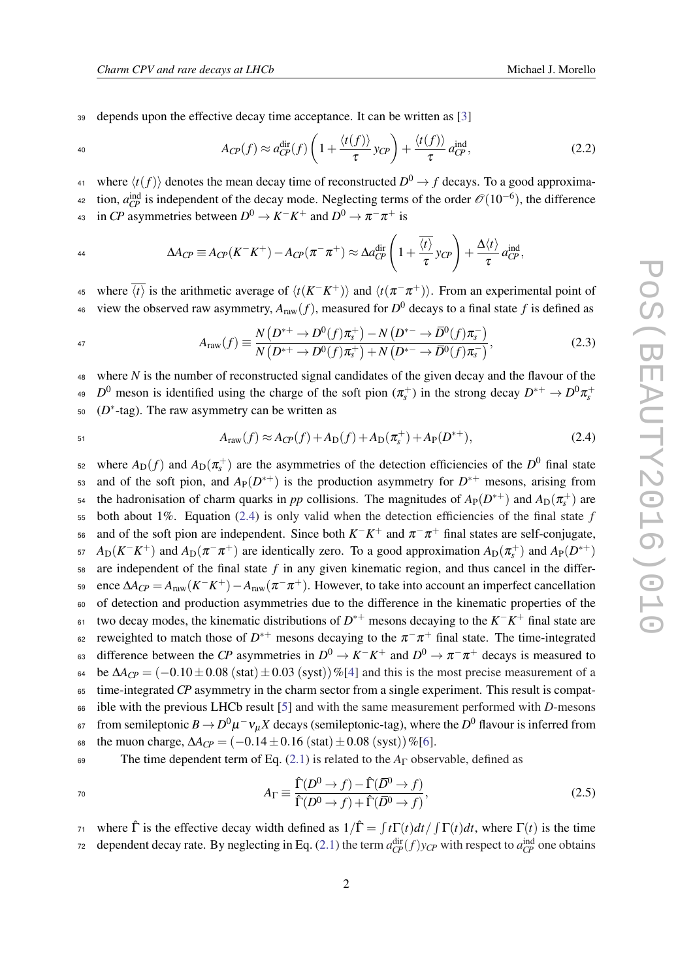<sup>39</sup> depends upon the effective decay time acceptance. It can be written as [\[3\]](#page-5-0)

$$
A_{CP}(f) \approx a_{CP}^{\text{dir}}(f) \left(1 + \frac{\langle t(f) \rangle}{\tau} y_{CP}\right) + \frac{\langle t(f) \rangle}{\tau} a_{CP}^{\text{ind}},\tag{2.2}
$$

where  $\langle t(f) \rangle$  denotes the mean decay time of reconstructed  $D^0 \rightarrow f$  decays. To a good approxima-

<sup>42</sup> tion,  $a_{CP}^{\text{ind}}$  is independent of the decay mode. Neglecting terms of the order  $\mathcal{O}(10^{-6})$ , the difference 43 in *CP* asymmetries between  $D^0 \to K^-K^+$  and  $D^0 \to \pi^- \pi^+$  is

$$
\Delta A_{CP} \equiv A_{CP}(K^-K^+) - A_{CP}(\pi^-\pi^+) \approx \Delta a_{CP}^{\text{dir}}\left(1 + \frac{\overline{\langle t \rangle}}{\tau} y_{CP}\right) + \frac{\Delta \langle t \rangle}{\tau} a_{CP}^{\text{ind}},
$$

45 where  $\overline{\langle t \rangle}$  is the arithmetic average of  $\langle t(K^-K^+)\rangle$  and  $\langle t(\pi^-\pi^+)\rangle$ . From an experimental point of 46 view the observed raw asymmetry,  $A_{\text{raw}}(f)$ , measured for  $D^0$  decays to a final state f is defined as

$$
A_{\text{raw}}(f) \equiv \frac{N(D^{*+} \to D^0(f)\pi_s^+) - N(D^{*-} \to \bar{D}^0(f)\pi_s^-)}{N(D^{*+} \to D^0(f)\pi_s^+) + N(D^{*-} \to \bar{D}^0(f)\pi_s^-)},\tag{2.3}
$$

<sup>48</sup> where *N* is the number of reconstructed signal candidates of the given decay and the flavour of the  $D^0$  meson is identified using the charge of the soft pion  $(\pi_s^+)$  in the strong decay  $D^{*+} \to D^0 \pi_s^+$  $4<sup>c</sup>$  $50 \t(D^*$ -tag). The raw asymmetry can be written as

$$
A_{\text{raw}}(f) \approx A_{\text{CP}}(f) + A_{\text{D}}(f) + A_{\text{D}}(\pi_{s}^{+}) + A_{\text{P}}(D^{*+}), \tag{2.4}
$$

 $\pi$  s<sub>2</sub> where  $A_D(f)$  and  $A_D(\pi_s^+)$  are the asymmetries of the detection efficiencies of the  $D^0$  final state and of the soft pion, and  $A_P(D^{*+})$  is the production asymmetry for  $D^{*+}$  mesons, arising from the hadronisation of charm quarks in *pp* collisions. The magnitudes of  $A_P(D^{*+})$  and  $A_D(\pi_s^+)$  are <sup>55</sup> both about 1%. Equation (2.4) is only valid when the detection efficiencies of the final state *f*  $\pi$  and of the soft pion are independent. Since both  $K^-K^+$  and  $\pi^-\pi^+$  final states are self-conjugate,  $A_D(K^-K^+)$  and  $A_D(\pi^-\pi^+)$  are identically zero. To a good approximation  $A_D(\pi_s^+)$  and  $A_P(D^{*+})$ <sup>58</sup> are independent of the final state *f* in any given kinematic region, and thus cancel in the differ- $\Delta A_{\text{CP}} = A_{\text{raw}}(K^-K^+) - A_{\text{raw}}(\pi^- \pi^+)$ . However, to take into account an imperfect cancellation <sup>60</sup> of detection and production asymmetries due to the difference in the kinematic properties of the two decay modes, the kinematic distributions of *D* <sup>∗</sup><sup>+</sup> mesons decaying to the *K* <sup>−</sup>*K* <sup>+</sup> <sup>61</sup> final state are  $\epsilon$  reweighted to match those of  $D^{*+}$  mesons decaying to the  $\pi^{-}\pi^{+}$  final state. The time-integrated 63 difference between the *CP* asymmetries in  $D^0 \to K^-K^+$  and  $D^0 \to \pi^- \pi^+$  decays is measured to 64 be  $\Delta A_{CP} = (-0.10 \pm 0.08 \text{ (stat)} \pm 0.03 \text{ (syst)})\%$  [\[4\]](#page-5-0) and this is the most precise measurement of a <sup>65</sup> time-integrated *CP* asymmetry in the charm sector from a single experiment. This result is compat-<sup>66</sup> ible with the previous LHCb result [[5](#page-5-0)] and with the same measurement performed with *D*-mesons  $\epsilon$ <sup>5</sup> from semileptonic  $B \to D^0 \mu^- \nu_\mu X$  decays (semileptonic-tag), where the  $D^0$  flavour is inferred from 68 the muon charge,  $\Delta A_{CP} = (-0.14 \pm 0.16 \text{ (stat)} \pm 0.08 \text{ (syst)})\%$ [\[6\]](#page-5-0). <sup>69</sup> The time dependent term of Eq. ([2.1](#page-1-0)) is related to the *A*<sup>Γ</sup> observable, defined as

$$
A_{\Gamma} \equiv \frac{\hat{\Gamma}(D^0 \to f) - \hat{\Gamma}(\bar{D}^0 \to f)}{\hat{\Gamma}(D^0 \to f) + \hat{\Gamma}(\bar{D}^0 \to f)},
$$
(2.5)

*τ*<sup>1</sup> where  $\hat{\Gamma}$  is the effective decay width defined as  $1/\hat{\Gamma} = \int t\Gamma(t)dt / \int \Gamma(t)dt$ , where  $\Gamma(t)$  is the time dependent decay rate. By neglecting in Eq. ([2.1](#page-1-0)) the term  $a_{CP}^{\text{dir}}(f)y_{CP}$  with respect to  $a_{CP}^{\text{ind}}$  one obtains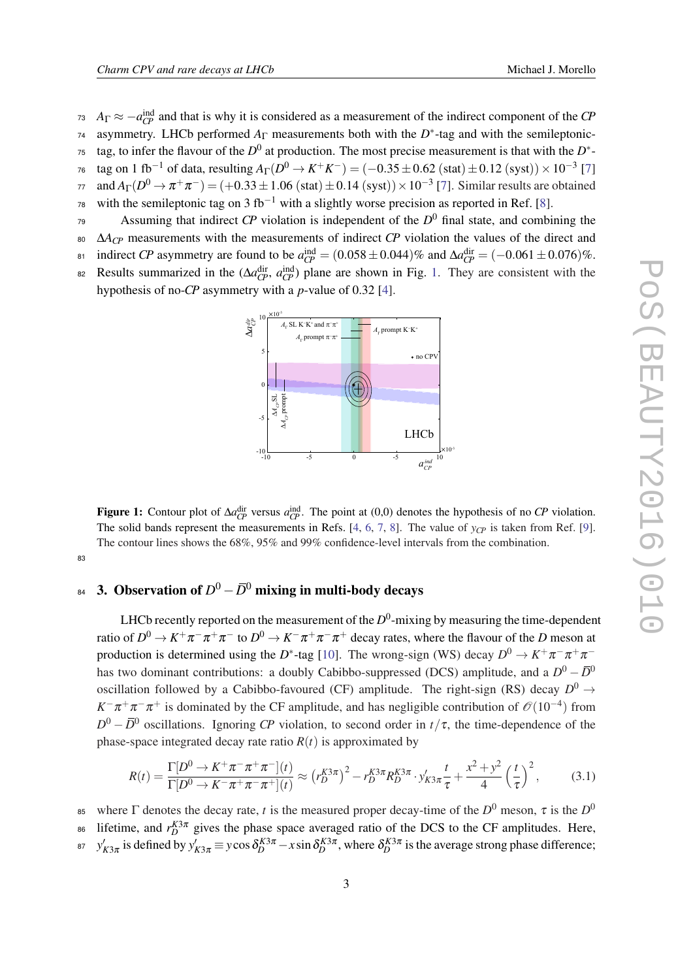- *A*<sub>Γ</sub>  $\approx$   $-a_{CP}^{\text{ind}}$  and that is why it is considered as a measurement of the indirect component of the *CP* <sup>74</sup> asymmetry. LHCb performed  $A_{\Gamma}$  measurements both with the  $D^*$ -tag and with the semileptonic-<sup>75</sup> tag, to infer the flavour of the  $D^0$  at production. The most precise measurement is that with the  $D^*$ - $\tau$ <sup>6</sup> tag on 1 fb<sup>-1</sup> of data, resulting  $A_{\Gamma}(D^0 \to K^+ K^-) = (-0.35 \pm 0.62 \text{ (stat)} \pm 0.12 \text{ (syst)}) \times 10^{-3}$  [[7](#page-5-0)]  $\pi$  and  $A_Γ(D^0 \to π^+π^-) = (+0.33 ± 1.06 (stat) ± 0.14 (syst)) × 10^{-3} [7]$  $A_Γ(D^0 \to π^+π^-) = (+0.33 ± 1.06 (stat) ± 0.14 (syst)) × 10^{-3} [7]$  $A_Γ(D^0 \to π^+π^-) = (+0.33 ± 1.06 (stat) ± 0.14 (syst)) × 10^{-3} [7]$ . Similar results are obtained
- 7[8](#page-5-0) with the semileptonic tag on 3 fb<sup>-1</sup> with a slightly worse precision as reported in Ref. [8].
- Assuming that indirect  $\mathbb{CP}$  violation is independent of the  $\mathbb{D}^0$  final state, and combining the
- <sup>80</sup> ∆*ACP* measurements with the measurements of indirect *CP* violation the values of the direct and
- $i_0$  indirect *CP* asymmetry are found to be  $a_{CP}^{\text{ind}} = (0.058 \pm 0.044)$ % and  $\Delta a_{CP}^{\text{dir}} = (-0.061 \pm 0.076)$ %.
- Results summarized in the  $(\Delta a_{CP}^{\text{dir}}, a_{CP}^{\text{ind}})$  plane are shown in Fig. 1. They are consistent with the hypothesis of no-*CP* asymmetry with a *p*-value of 0.32 [\[4\]](#page-5-0).



**Figure 1:** Contour plot of  $\Delta a_{CP}^{\text{dir}}$  versus  $a_{CP}^{\text{ind}}$ . The point at (0,0) denotes the hypothesis of no *CP* violation. The solid bands represent the measurements in Refs. [\[4](#page-5-0), [6,](#page-5-0) [7](#page-5-0), [8\]](#page-5-0). The value of  $y_{CP}$  is taken from Ref. [\[9](#page-5-0)]. The contour lines shows the 68%, 95% and 99% confidence-level intervals from the combination.

#### 83

# $_{^{84}}$  3. Observation of  $D^{0}-\bar{D}^{0}$  mixing in multi-body decays

LHCb recently reported on the measurement of the  $D^0$ -mixing by measuring the time-dependent ratio of  $D^0\to K^+\pi^-\pi^+\pi^-$  to  $D^0\to K^-\pi^+\pi^-\pi^+$  decay rates, where the flavour of the  $D$  meson at production is determined using the *D*<sup>\*</sup>-tag [[10\]](#page-5-0). The wrong-sign (WS) decay  $D^0 \to K^+\pi^-\pi^+\pi^$ has two dominant contributions: a doubly Cabibbo-suppressed (DCS) amplitude, and a  $D^0 - \bar{D}^0$ oscillation followed by a Cabibbo-favoured (CF) amplitude. The right-sign (RS) decay  $D^0 \rightarrow$  $K^-\pi^+\pi^-\pi^+$  is dominated by the CF amplitude, and has negligible contribution of  $\mathcal{O}(10^{-4})$  from  $D^0 - \overline{D}{}^0$  oscillations. Ignoring *CP* violation, to second order in  $t/\tau$ , the time-dependence of the phase-space integrated decay rate ratio  $R(t)$  is approximated by

$$
R(t) = \frac{\Gamma[D^0 \to K^+ \pi^- \pi^+ \pi^-](t)}{\Gamma[D^0 \to K^- \pi^+ \pi^- \pi^+](t)} \approx (r_D^{K3\pi})^2 - r_D^{K3\pi} R_D^{K3\pi} \cdot y'_{K3\pi} \frac{t}{\tau} + \frac{x^2 + y^2}{4} \left(\frac{t}{\tau}\right)^2, \tag{3.1}
$$

where  $\Gamma$  denotes the decay rate, *t* is the measured proper decay-time of the  $D^0$  meson,  $\tau$  is the  $D^0$ **85** <sup>86</sup> lifetime, and  $r_D^{K3\pi}$  gives the phase space averaged ratio of the DCS to the CF amplitudes. Here,  $y'_{K3π}$  is defined by  $y'_{K3π} \equiv y \cos \delta_D^{K3π} - x \sin \delta_D^{K3π}$ , where  $\delta_D^{K3π}$  is the average strong phase difference;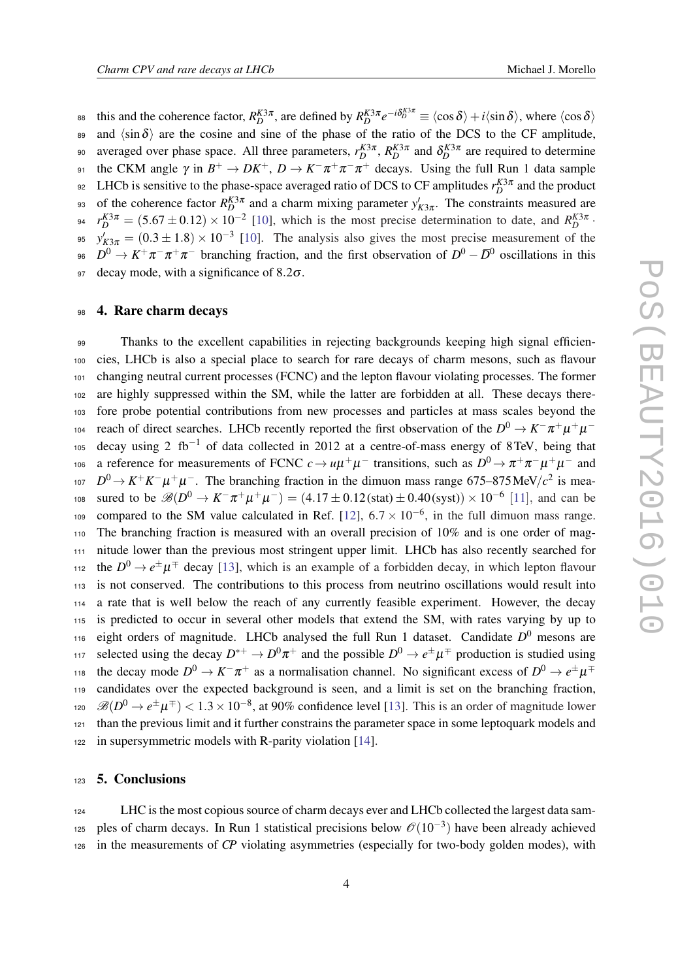this and the coherence factor,  $R_D^{K3\pi}$ , are defined by  $R_D^{K3\pi}e^{-i\delta_D^{K3\pi}} \equiv \langle \cos \delta \rangle + i \langle \sin \delta \rangle$ , where  $\langle \cos \delta \rangle$ 89 and  $\langle \sin \delta \rangle$  are the cosine and sine of the phase of the ratio of the DCS to the CF amplitude, averaged over phase space. All three parameters,  $r_D^{K3\pi}$ ,  $R_D^{K3\pi}$  and  $\delta_D^{K3\pi}$  are required to determine <sup>91</sup> the CKM angle  $\gamma$  in  $B^+ \to DK^+, D \to K^-\pi^+\pi^-\pi^+$  decays. Using the full Run 1 data sample <sup>92</sup> LHCb is sensitive to the phase-space averaged ratio of DCS to CF amplitudes  $r_D^{K3\pi}$  and the product of the coherence factor  $R_D^{K3\pi}$  and a charm mixing parameter  $y'_{K3\pi}$ . The constraints measured are  $r_D^{K3\pi} = (5.67 \pm 0.12) \times 10^{-2}$  [[10\]](#page-5-0), which is the most precise determination to date, and  $R_D^{K3\pi}$ . <sup>95</sup>  $y'_{K3\pi} = (0.3 \pm 1.8) \times 10^{-3}$  [[10\]](#page-5-0). The analysis also gives the most precise measurement of the <sup>96</sup>  $D^0 \to K^+\pi^-\pi^+\pi^-$  branching fraction, and the first observation of  $D^0 - \bar{D}^0$  oscillations in this 97 decay mode, with a significance of  $8.2\sigma$ .

### 98 4. Rare charm decays

 Thanks to the excellent capabilities in rejecting backgrounds keeping high signal efficien- cies, LHCb is also a special place to search for rare decays of charm mesons, such as flavour changing neutral current processes (FCNC) and the lepton flavour violating processes. The former are highly suppressed within the SM, while the latter are forbidden at all. These decays there- fore probe potential contributions from new processes and particles at mass scales beyond the reach of direct searches. LHCb recently reported the first observation of the  $D^0 \to K^-\pi^+\mu^+\mu^-$  decay using 2 fb<sup>-1</sup> of data collected in 2012 at a centre-of-mass energy of 8TeV, being that 106 a reference for measurements of FCNC  $c \to u\mu^+\mu^-$  transitions, such as  $D^0 \to \pi^+\pi^-\mu^+\mu^-$  and  $D^0 \rightarrow K^+K^-\mu^+\mu^-$ . The branching fraction in the dimuon mass range 675–875 MeV/*c*<sup>2</sup> is mea $s_0$  sured to be  $\mathscr{B}(D^0 \to K^- \pi^+ \mu^+ \mu^-) = (4.17 \pm 0.12 \text{(stat)} \pm 0.40 \text{(syst)}) \times 10^{-6}$  [[11](#page-5-0)], and can be 109 compared to the SM value calculated in Ref. [\[12](#page-5-0)],  $6.7 \times 10^{-6}$ , in the full dimuon mass range. The branching fraction is measured with an overall precision of 10% and is one order of mag- nitude lower than the previous most stringent upper limit. LHCb has also recently searched for the  $D^0 \rightarrow e^{\pm} \mu^{\mp}$  decay [[13\]](#page-5-0), which is an example of a forbidden decay, in which lepton flavour is not conserved. The contributions to this process from neutrino oscillations would result into a rate that is well below the reach of any currently feasible experiment. However, the decay is predicted to occur in several other models that extend the SM, with rates varying by up to <sup>116</sup> eight orders of magnitude. LHCb analysed the full Run 1 dataset. Candidate  $D^0$  mesons are selected using the decay  $D^{*+} \to D^0 \pi^+$  and the possible  $D^0 \to e^{\pm} \mu^{\mp}$  production is studied using the decay mode  $D^0 \to K^- \pi^+$  as a normalisation channel. No significant excess of  $D^0 \to e^{\pm} \mu^{\mp}$  candidates over the expected background is seen, and a limit is set on the branching fraction, <sup>120</sup>  $\mathcal{B}(D^0 \to e^{\pm} \mu^{\mp})$  < 1.3 × 10<sup>-8</sup>, at 90% confidence level [[13\]](#page-5-0). This is an order of magnitude lower than the previous limit and it further constrains the parameter space in some leptoquark models and in supersymmetric models with R-parity violation [[14](#page-5-0)].

### <sup>123</sup> 5. Conclusions

<sup>124</sup> LHC is the most copious source of charm decays ever and LHCb collected the largest data sam-125 ples of charm decays. In Run 1 statistical precisions below  $\mathcal{O}(10^{-3})$  have been already achieved <sup>126</sup> in the measurements of *CP* violating asymmetries (especially for two-body golden modes), with